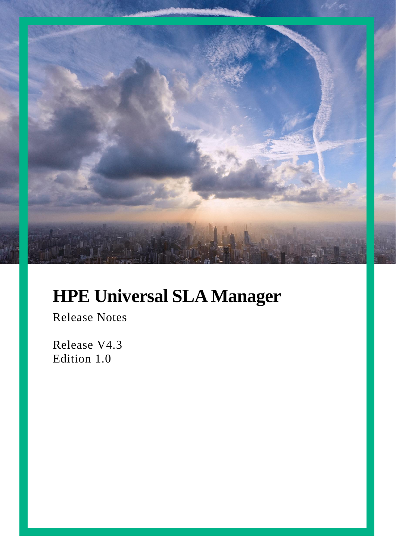

# **HPE Universal SLA Manager**

Release Notes

Release V4.3 Edition 1.0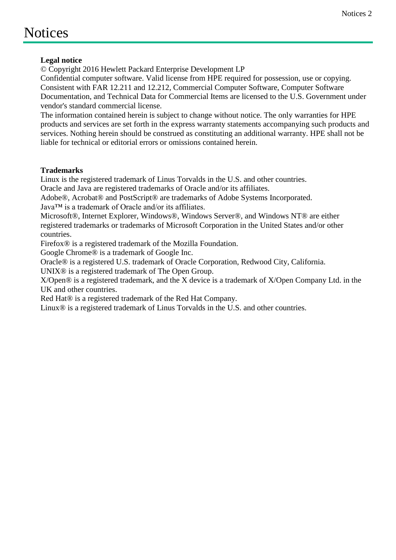## <span id="page-1-0"></span>**Notices**

#### **Legal notice**

© Copyright 2016 Hewlett Packard Enterprise Development LP

Confidential computer software. Valid license from HPE required for possession, use or copying. Consistent with FAR 12.211 and 12.212, Commercial Computer Software, Computer Software Documentation, and Technical Data for Commercial Items are licensed to the U.S. Government under vendor's standard commercial license.

The information contained herein is subject to change without notice. The only warranties for HPE products and services are set forth in the express warranty statements accompanying such products and services. Nothing herein should be construed as constituting an additional warranty. HPE shall not be liable for technical or editorial errors or omissions contained herein.

#### **Trademarks**

Linux is the registered trademark of Linus Torvalds in the U.S. and other countries.

Oracle and Java are registered trademarks of Oracle and/or its affiliates.

Adobe®, Acrobat® and PostScript® are trademarks of Adobe Systems Incorporated.

Java™ is a trademark of Oracle and/or its affiliates.

Microsoft®, Internet Explorer, Windows®, Windows Server®, and Windows NT® are either registered trademarks or trademarks of Microsoft Corporation in the United States and/or other countries.

Firefox® is a registered trademark of the Mozilla Foundation.

Google Chrome® is a trademark of Google Inc.

Oracle® is a registered U.S. trademark of Oracle Corporation, Redwood City, California.

UNIX® is a registered trademark of The Open Group.

X/Open® is a registered trademark, and the X device is a trademark of X/Open Company Ltd. in the UK and other countries.

Red Hat<sup>®</sup> is a registered trademark of the Red Hat Company.

Linux® is a registered trademark of Linus Torvalds in the U.S. and other countries.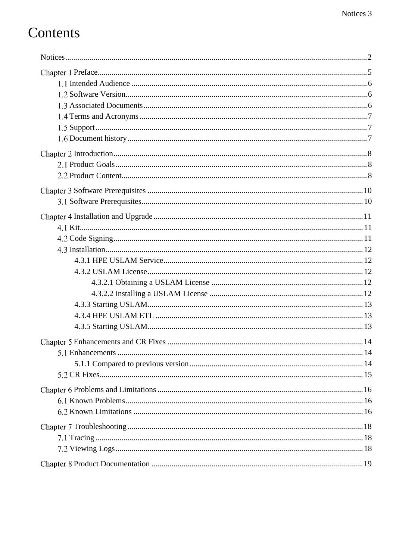# Contents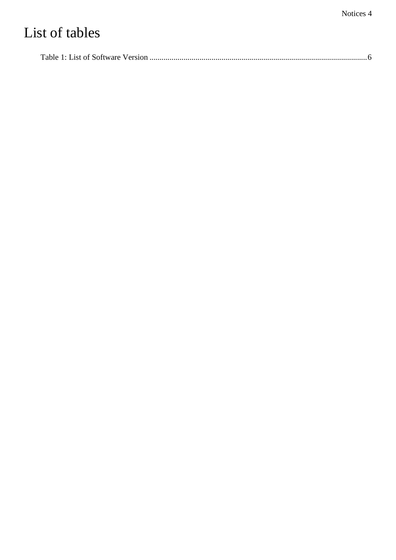# List of tables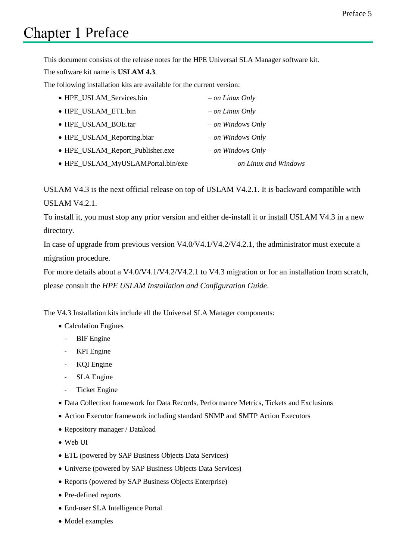#### Preface 5

# <span id="page-4-0"></span>**Chapter 1 Preface**

This document consists of the release notes for the HPE Universal SLA Manager software kit.

The software kit name is **USLAM 4.3**.

The following installation kits are available for the current version:

| • HPE_USLAM_Services.bin          | $-$ on Linux Only        |
|-----------------------------------|--------------------------|
| • HPE_USLAM_ETL.bin               | $-$ on Linux Only        |
| • HPE USLAM BOE.tar               | $-$ on Windows Only      |
| • HPE_USLAM_Reporting.biar        | $-$ on Windows Only      |
| • HPE_USLAM_Report_Publisher.exe  | $-$ on Windows Only      |
| • HPE_USLAM_MyUSLAMPortal.bin/exe | $-$ on Linux and Windows |

USLAM V4.3 is the next official release on top of USLAM V4.2.1. It is backward compatible with USLAM V4.2.1.

To install it, you must stop any prior version and either de-install it or install USLAM V4.3 in a new directory.

In case of upgrade from previous version V4.0/V4.1/V4.2/V4.2.1, the administrator must execute a migration procedure.

For more details about a V4.0/V4.1/V4.2/V4.2.1 to V4.3 migration or for an installation from scratch, please consult the *HPE USLAM Installation and Configuration Guide*.

The V4.3 Installation kits include all the Universal SLA Manager components:

- Calculation Engines
	- BIF Engine
	- KPI Engine
	- KQI Engine
	- SLA Engine
	- Ticket Engine
- Data Collection framework for Data Records, Performance Metrics, Tickets and Exclusions
- Action Executor framework including standard SNMP and SMTP Action Executors
- Repository manager / Dataload
- Web UI
- ETL (powered by SAP Business Objects Data Services)
- Universe (powered by SAP Business Objects Data Services)
- Reports (powered by SAP Business Objects Enterprise)
- Pre-defined reports
- End-user SLA Intelligence Portal
- Model examples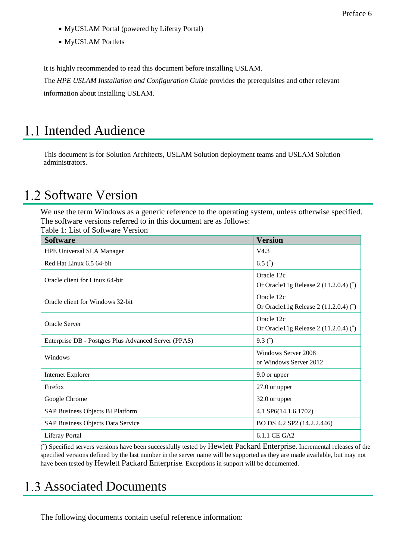- MyUSLAM Portal (powered by Liferay Portal)
- MyUSLAM Portlets

It is highly recommended to read this document before installing USLAM.

The *HPE USLAM Installation and Configuration Guide* provides the prerequisites and other relevant information about installing USLAM.

### <span id="page-5-0"></span>1.1 Intended Audience

This document is for Solution Architects, USLAM Solution deployment teams and USLAM Solution administrators.

### <span id="page-5-1"></span>1.2 Software Version

We use the term Windows as a generic reference to the operating system, unless otherwise specified. The software versions referred to in this document are as follows: Table 1: List of Software Version

<span id="page-5-3"></span>

| raone 1. Last of Boltware Version<br><b>Software</b> | <b>Version</b>                                       |
|------------------------------------------------------|------------------------------------------------------|
| <b>HPE Universal SLA Manager</b>                     | V4.3                                                 |
| Red Hat Linux 6.5 64-bit                             | 6.5 $^*$                                             |
| Oracle client for Linux 64-bit                       | Oracle 12c<br>Or Oracle11g Release $2(11.2.0.4)$ (*) |
| Oracle client for Windows 32-bit                     | Oracle 12c<br>Or Oracle11g Release $2(11.2.0.4)$ (*) |
| <b>Oracle Server</b>                                 | Oracle 12c<br>Or Oracle11g Release $2(11.2.0.4)$ (*) |
| Enterprise DB - Postgres Plus Advanced Server (PPAS) | 9.3 $^*$ )                                           |
| Windows                                              | Windows Server 2008<br>or Windows Server 2012        |
| <b>Internet Explorer</b>                             | 9.0 or upper                                         |
| Firefox                                              | 27.0 or upper                                        |
| Google Chrome                                        | 32.0 or upper                                        |
| SAP Business Objects BI Platform                     | 4.1 SP6(14.1.6.1702)                                 |
| SAP Business Objects Data Service                    | BO DS 4.2 SP2 (14.2.2.446)                           |
| <b>Liferay Portal</b>                                | 6.1.1 CE GA2                                         |

( \* ) Specified servers versions have been successfully tested by Hewlett Packard Enterprise. Incremental releases of the specified versions defined by the last number in the server name will be supported as they are made available, but may not have been tested by Hewlett Packard Enterprise. Exceptions in support will be documented.

### <span id="page-5-2"></span>1.3 Associated Documents

The following documents contain useful reference information: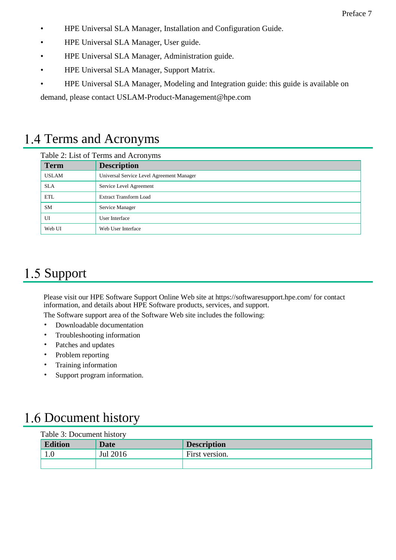- HPE Universal SLA Manager, Installation and Configuration Guide.
- HPE Universal SLA Manager, User guide.
- HPE Universal SLA Manager, Administration guide.
- HPE Universal SLA Manager, Support Matrix.
- HPE Universal SLA Manager, Modeling and Integration guide: this guide is available on

demand, please contact USLAM-Product-Management@hpe.com

## <span id="page-6-0"></span>1.4 Terms and Acronyms

#### Table 2: List of Terms and Acronyms

| <b>Term</b>  | <b>Description</b>                        |
|--------------|-------------------------------------------|
| <b>USLAM</b> | Universal Service Level Agreement Manager |
| <b>SLA</b>   | Service Level Agreement                   |
| <b>ETL</b>   | <b>Extract Transform Load</b>             |
| <b>SM</b>    | Service Manager                           |
| UI           | User Interface                            |
| Web UI       | Web User Interface                        |

### <span id="page-6-1"></span>1.5 Support

Please visit our HPE Software Support Online Web site at https://softwaresupport.hpe.com/ for contact information, and details about HPE Software products, services, and support.

The Software support area of the Software Web site includes the following:

- Downloadable documentation
- Troubleshooting information
- Patches and updates
- Problem reporting
- Training information
- Support program information.

## <span id="page-6-2"></span>1.6 Document history

| Table 3: Document history |          |                    |
|---------------------------|----------|--------------------|
| <b>Edition</b>            | Date     | <b>Description</b> |
| $1.0\,$                   | Jul 2016 | First version.     |
|                           |          |                    |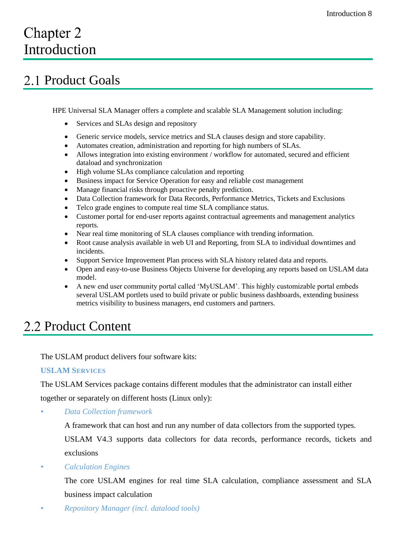# <span id="page-7-0"></span>Chapter 2 Introduction

## <span id="page-7-1"></span>2.1 Product Goals

HPE Universal SLA Manager offers a complete and scalable SLA Management solution including:

- Services and SLAs design and repository
- Generic service models, service metrics and SLA clauses design and store capability.
- Automates creation, administration and reporting for high numbers of SLAs.
- Allows integration into existing environment / workflow for automated, secured and efficient dataload and synchronization
- High volume SLAs compliance calculation and reporting
- Business impact for Service Operation for easy and reliable cost management
- Manage financial risks through proactive penalty prediction.
- Data Collection framework for Data Records, Performance Metrics, Tickets and Exclusions
- Telco grade engines to compute real time SLA compliance status.
- Customer portal for end-user reports against contractual agreements and management analytics reports.
- Near real time monitoring of SLA clauses compliance with trending information.
- Root cause analysis available in web UI and Reporting, from SLA to individual downtimes and incidents.
- Support Service Improvement Plan process with SLA history related data and reports.
- Open and easy-to-use Business Objects Universe for developing any reports based on USLAM data model.
- A new end user community portal called 'MyUSLAM'. This highly customizable portal embeds several USLAM portlets used to build private or public business dashboards, extending business metrics visibility to business managers, end customers and partners.

## <span id="page-7-2"></span>2.2 Product Content

The USLAM product delivers four software kits:

#### **USLAM SERVICES**

The USLAM Services package contains different modules that the administrator can install either together or separately on different hosts (Linux only):

*• Data Collection framework*

A framework that can host and run any number of data collectors from the supported types.

USLAM V4.3 supports data collectors for data records, performance records, tickets and exclusions

*• Calculation Engines*

The core USLAM engines for real time SLA calculation, compliance assessment and SLA business impact calculation

*• Repository Manager (incl. dataload tools)*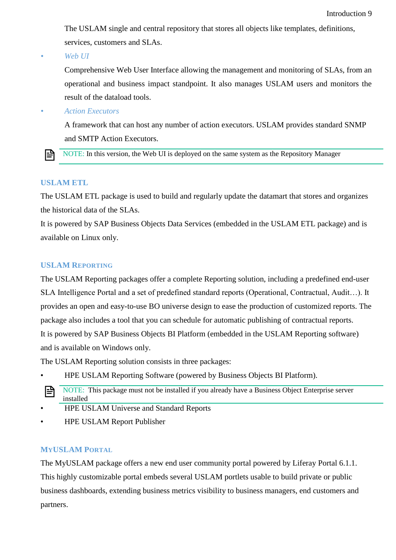The USLAM single and central repository that stores all objects like templates, definitions, services, customers and SLAs.

*• Web UI* 

Comprehensive Web User Interface allowing the management and monitoring of SLAs, from an operational and business impact standpoint. It also manages USLAM users and monitors the result of the dataload tools.

*• Action Executors*

A framework that can host any number of action executors. USLAM provides standard SNMP and SMTP Action Executors.

NOTE: In this version, the Web UI is deployed on the same system as the Repository Manager l≞

#### **USLAM ETL**

The USLAM ETL package is used to build and regularly update the datamart that stores and organizes the historical data of the SLAs.

It is powered by SAP Business Objects Data Services (embedded in the USLAM ETL package) and is available on Linux only.

#### **USLAM REPORTING**

The USLAM Reporting packages offer a complete Reporting solution, including a predefined end-user SLA Intelligence Portal and a set of predefined standard reports (Operational, Contractual, Audit…). It provides an open and easy-to-use BO universe design to ease the production of customized reports. The package also includes a tool that you can schedule for automatic publishing of contractual reports. It is powered by SAP Business Objects BI Platform (embedded in the USLAM Reporting software) and is available on Windows only.

The USLAM Reporting solution consists in three packages:

• HPE USLAM Reporting Software (powered by Business Objects BI Platform).



- HPE USLAM Universe and Standard Reports
- HPE USLAM Report Publisher

#### **MYUSLAM PORTAL**

The MyUSLAM package offers a new end user community portal powered by Liferay Portal 6.1.1. This highly customizable portal embeds several USLAM portlets usable to build private or public business dashboards, extending business metrics visibility to business managers, end customers and partners.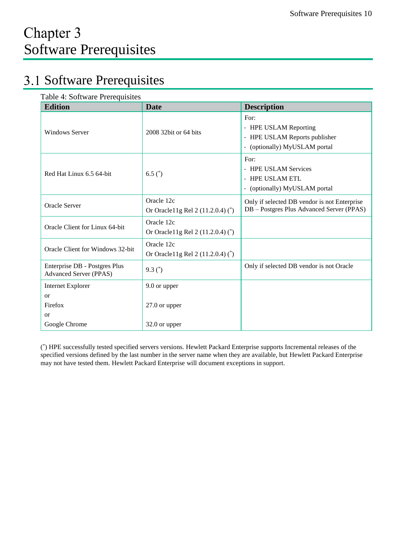## <span id="page-9-1"></span><span id="page-9-0"></span>3.1 Software Prerequisites

| Table 4: Software Prerequisites |  |  |  |
|---------------------------------|--|--|--|
|---------------------------------|--|--|--|

| <b>Edition</b>                                                 | <b>Date</b>                                          | <b>Description</b>                                                                              |
|----------------------------------------------------------------|------------------------------------------------------|-------------------------------------------------------------------------------------------------|
| <b>Windows Server</b>                                          | 2008 32bit or 64 bits                                | For:<br>- HPE USLAM Reporting<br>- HPE USLAM Reports publisher<br>- (optionally) MyUSLAM portal |
| Red Hat Linux 6.5 64-bit                                       | 6.5 $^{\circ}$                                       | For:<br>- HPE USLAM Services<br>- HPE USLAM ETL<br>- (optionally) MyUSLAM portal                |
| <b>Oracle Server</b>                                           | Oracle 12c<br>Or Oracle11g Rel 2 (11.2.0.4) (*)      | Only if selected DB vendor is not Enterprise<br>DB - Postgres Plus Advanced Server (PPAS)       |
| Oracle Client for Linux 64-bit                                 | Oracle 12c<br>Or Oracle11g Rel 2 (11.2.0.4) (*)      |                                                                                                 |
| Oracle Client for Windows 32-bit                               | Oracle 12c<br>Or Oracle 11g Rel 2 $(11.2.0.4)$ $(*)$ |                                                                                                 |
| Enterprise DB - Postgres Plus<br><b>Advanced Server (PPAS)</b> | 9.3 $(*)$                                            | Only if selected DB vendor is not Oracle                                                        |
| <b>Internet Explorer</b>                                       | 9.0 or upper                                         |                                                                                                 |
| <b>or</b>                                                      |                                                      |                                                                                                 |
| Firefox                                                        | 27.0 or upper                                        |                                                                                                 |
| <b>or</b>                                                      |                                                      |                                                                                                 |
| Google Chrome                                                  | 32.0 or upper                                        |                                                                                                 |

( \* ) HPE successfully tested specified servers versions. Hewlett Packard Enterprise supports Incremental releases of the specified versions defined by the last number in the server name when they are available, but Hewlett Packard Enterprise may not have tested them. Hewlett Packard Enterprise will document exceptions in support.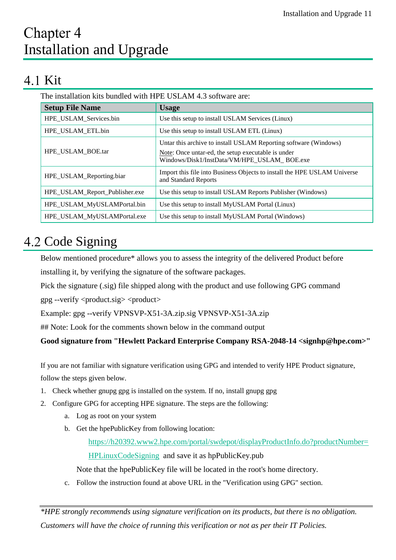# <span id="page-10-0"></span>Chapter 4 Installation and Upgrade

## <span id="page-10-1"></span>4.1 Kit

The installation kits bundled with HPE USLAM 4.3 software are:

| <b>Setup File Name</b>         | <b>Usage</b>                                                                                                                                                          |
|--------------------------------|-----------------------------------------------------------------------------------------------------------------------------------------------------------------------|
| HPE_USLAM_Services.bin         | Use this setup to install USLAM Services (Linux)                                                                                                                      |
| HPE_USLAM_ETL.bin              | Use this setup to install USLAM ETL (Linux)                                                                                                                           |
| HPE USLAM BOE.tar              | Untar this archive to install USLAM Reporting software (Windows)<br>Note: Once untar-ed, the setup executable is under<br>Windows/Disk1/InstData/VM/HPE USLAM BOE.exe |
| HPE_USLAM_Reporting.biar       | Import this file into Business Objects to install the HPE USLAM Universe<br>and Standard Reports                                                                      |
| HPE_USLAM_Report_Publisher.exe | Use this setup to install USLAM Reports Publisher (Windows)                                                                                                           |
| HPE_USLAM_MyUSLAMPortal.bin    | Use this setup to install MyUSLAM Portal (Linux)                                                                                                                      |
| HPE_USLAM_MyUSLAMPortal.exe    | Use this setup to install MyUSLAM Portal (Windows)                                                                                                                    |

## <span id="page-10-2"></span>4.2 Code Signing

Below mentioned procedure\* allows you to assess the integrity of the delivered Product before installing it, by verifying the signature of the software packages.

Pick the signature (.sig) file shipped along with the product and use following GPG command

 $gpg$  --verify  $<$ product.sig $>$   $<$ product $>$ 

Example: gpg --verify VPNSVP-X51-3A.zip.sig VPNSVP-X51-3A.zip

## Note: Look for the comments shown below in the command output

#### **Good signature from "Hewlett Packard Enterprise Company RSA-2048-14 <signhp@hpe.com>"**

If you are not familiar with signature verification using GPG and intended to verify HPE Product signature, follow the steps given below.

- 1. Check whether gnupg gpg is installed on the system. If no, install gnupg gpg
- 2. Configure GPG for accepting HPE signature. The steps are the following:
	- a. Log as root on your system
	- b. Get the hpePublicKey from following location:

[https://h20392.www2.hpe.com/portal/swdepot/displayProductInfo.do?productNumber=](https://h20392.www2.hpe.com/portal/swdepot/displayProductInfo.do?productNumber=HPLinuxCodeSigning)

[HPLinuxCodeSigning](https://h20392.www2.hpe.com/portal/swdepot/displayProductInfo.do?productNumber=HPLinuxCodeSigning) and save it as hpPublicKey.pub

Note that the hpePublicKey file will be located in the root's home directory.

c. Follow the instruction found at above URL in the "Verification using GPG" section.

*\*HPE strongly recommends using signature verification on its products, but there is no obligation. Customers will have the choice of running this verification or not as per their IT Policies.*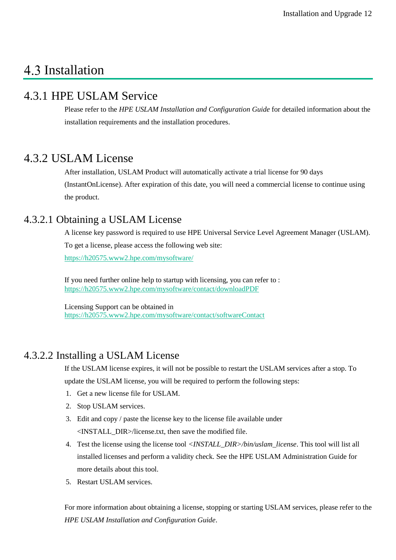## <span id="page-11-0"></span>4.3 Installation

### <span id="page-11-1"></span>4.3.1 HPE USLAM Service

Please refer to the *HPE USLAM Installation and Configuration Guide* for detailed information about the installation requirements and the installation procedures.

#### <span id="page-11-2"></span>4.3.2 USLAM License

After installation, USLAM Product will automatically activate a trial license for 90 days (InstantOnLicense). After expiration of this date, you will need a commercial license to continue using the product.

#### <span id="page-11-3"></span>4.3.2.1 Obtaining a USLAM License

A license key password is required to use HPE Universal Service Level Agreement Manager (USLAM). To get a license, please access the following web site: <https://h20575.www2.hpe.com/mysoftware/>

If you need further online help to startup with licensing, you can refer to : <https://h20575.www2.hpe.com/mysoftware/contact/downloadPDF>

Licensing Support can be obtained in <https://h20575.www2.hpe.com/mysoftware/contact/softwareContact>

#### <span id="page-11-4"></span>4.3.2.2 Installing a USLAM License

If the USLAM license expires, it will not be possible to restart the USLAM services after a stop. To update the USLAM license, you will be required to perform the following steps:

- 1. Get a new license file for USLAM.
- 2. Stop USLAM services.
- 3. Edit and copy / paste the license key to the license file available under <INSTALL\_DIR>/license.txt, then save the modified file.
- 4. Test the license using the license tool *<INSTALL\_DIR>/bin/uslam\_license*. This tool will list all installed licenses and perform a validity check. See the HPE USLAM Administration Guide for more details about this tool.
- 5. Restart USLAM services.

For more information about obtaining a license, stopping or starting USLAM services, please refer to the *HPE USLAM Installation and Configuration Guide*.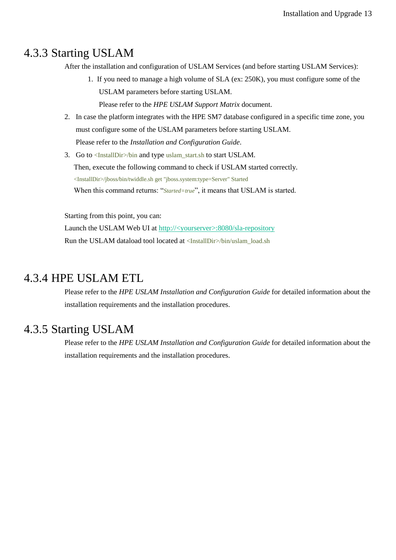#### <span id="page-12-0"></span>4.3.3 Starting USLAM

After the installation and configuration of USLAM Services (and before starting USLAM Services):

- 1. If you need to manage a high volume of SLA (ex: 250K), you must configure some of the USLAM parameters before starting USLAM. Please refer to the *HPE USLAM Support Matrix* document.
- 2. In case the platform integrates with the HPE SM7 database configured in a specific time zone, you must configure some of the USLAM parameters before starting USLAM. Please refer to the *Installation and Configuration Guide*.
- 3. Go to <InstallDir>/bin and type uslam\_start.sh to start USLAM.

Then, execute the following command to check if USLAM started correctly. <InstallDir>/jboss/bin/twiddle.sh get "jboss.system:type=Server" Started When this command returns: "*Started=true*", it means that USLAM is started.

Starting from this point, you can: Launch the USLAM Web UI at http://<yourserver>:8080/sla-repository Run the USLAM dataload tool located at <InstallDir>/bin/uslam\_load.sh

#### <span id="page-12-1"></span>4.3.4 HPE USLAM ETL

Please refer to the *HPE USLAM Installation and Configuration Guide* for detailed information about the installation requirements and the installation procedures.

#### <span id="page-12-2"></span>4.3.5 Starting USLAM

Please refer to the *HPE USLAM Installation and Configuration Guide* for detailed information about the installation requirements and the installation procedures.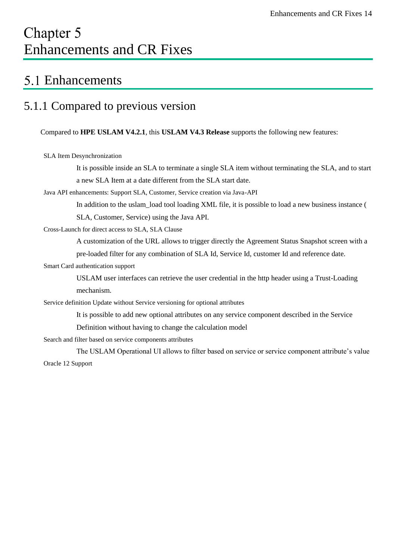# <span id="page-13-0"></span>Chapter 5 Enhancements and CR Fixes

### <span id="page-13-1"></span>5.1 Enhancements

### <span id="page-13-2"></span>5.1.1 Compared to previous version

Compared to **HPE USLAM V4.2.1**, this **USLAM V4.3 Release** supports the following new features:

SLA Item Desynchronization

It is possible inside an SLA to terminate a single SLA item without terminating the SLA, and to start a new SLA Item at a date different from the SLA start date.

Java API enhancements: Support SLA, Customer, Service creation via Java-API

In addition to the uslam\_load tool loading XML file, it is possible to load a new business instance ( SLA, Customer, Service) using the Java API.

Cross-Launch for direct access to SLA, SLA Clause

A customization of the URL allows to trigger directly the Agreement Status Snapshot screen with a pre-loaded filter for any combination of SLA Id, Service Id, customer Id and reference date.

Smart Card authentication support

USLAM user interfaces can retrieve the user credential in the http header using a Trust-Loading mechanism.

Service definition Update without Service versioning for optional attributes

It is possible to add new optional attributes on any service component described in the Service

Definition without having to change the calculation model

Search and filter based on service components attributes

The USLAM Operational UI allows to filter based on service or service component attribute's value Oracle 12 Support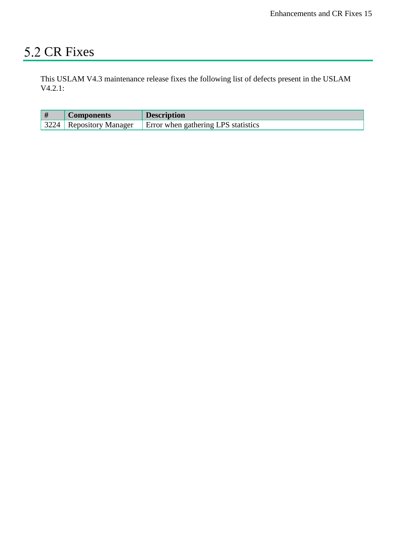## <span id="page-14-0"></span>5.2 CR Fixes

This USLAM V4.3 maintenance release fixes the following list of defects present in the USLAM V4.2.1:

| #    | <b>Components</b>  | <b>Description</b>                  |
|------|--------------------|-------------------------------------|
| 3224 | Repository Manager | Error when gathering LPS statistics |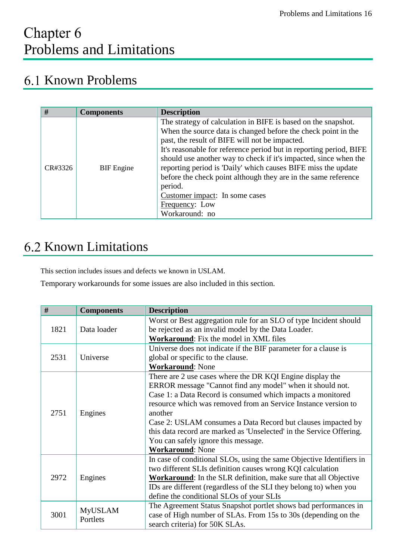# <span id="page-15-0"></span>Chapter 6 Problems and Limitations

## <span id="page-15-1"></span>6.1 Known Problems

| #       | <b>Components</b> | <b>Description</b>                                                                                                                                                                                                                                                                                                                                                                                                                                                                                                                             |
|---------|-------------------|------------------------------------------------------------------------------------------------------------------------------------------------------------------------------------------------------------------------------------------------------------------------------------------------------------------------------------------------------------------------------------------------------------------------------------------------------------------------------------------------------------------------------------------------|
| CR#3326 | <b>BIF</b> Engine | The strategy of calculation in BIFE is based on the snapshot.<br>When the source data is changed before the check point in the<br>past, the result of BIFE will not be impacted.<br>It's reasonable for reference period but in reporting period, BIFE<br>should use another way to check if it's impacted, since when the<br>reporting period is 'Daily' which causes BIFE miss the update<br>before the check point although they are in the same reference<br>period.<br>Customer impact: In some cases<br>Frequency: Low<br>Workaround: no |

# <span id="page-15-2"></span>**6.2 Known Limitations**

This section includes issues and defects we known in USLAM.

Temporary workarounds for some issues are also included in this section.

| #    | <b>Components</b>          | <b>Description</b>                                                     |
|------|----------------------------|------------------------------------------------------------------------|
|      |                            | Worst or Best aggregation rule for an SLO of type Incident should      |
| 1821 | Data loader                | be rejected as an invalid model by the Data Loader.                    |
|      |                            | Workaround: Fix the model in XML files                                 |
|      |                            | Universe does not indicate if the BIF parameter for a clause is        |
| 2531 | Universe                   | global or specific to the clause.                                      |
|      |                            | <b>Workaround: None</b>                                                |
|      |                            | There are 2 use cases where the DR KQI Engine display the              |
|      |                            | ERROR message "Cannot find any model" when it should not.              |
|      |                            | Case 1: a Data Record is consumed which impacts a monitored            |
|      | Engines                    | resource which was removed from an Service Instance version to         |
| 2751 |                            | another                                                                |
|      |                            | Case 2: USLAM consumes a Data Record but clauses impacted by           |
|      |                            | this data record are marked as 'Unselected' in the Service Offering.   |
|      |                            | You can safely ignore this message.                                    |
|      |                            | <b>Workaround: None</b>                                                |
|      |                            | In case of conditional SLOs, using the same Objective Identifiers in   |
| 2972 | Engines                    | two different SLIs definition causes wrong KQI calculation             |
|      |                            | <b>Workaround:</b> In the SLR definition, make sure that all Objective |
|      |                            | IDs are different (regardless of the SLI they belong to) when you      |
|      |                            | define the conditional SLOs of your SLIs                               |
|      |                            | The Agreement Status Snapshot portlet shows bad performances in        |
| 3001 | <b>MyUSLAM</b><br>Portlets | case of High number of SLAs. From 15s to 30s (depending on the         |
|      |                            | search criteria) for 50K SLAs.                                         |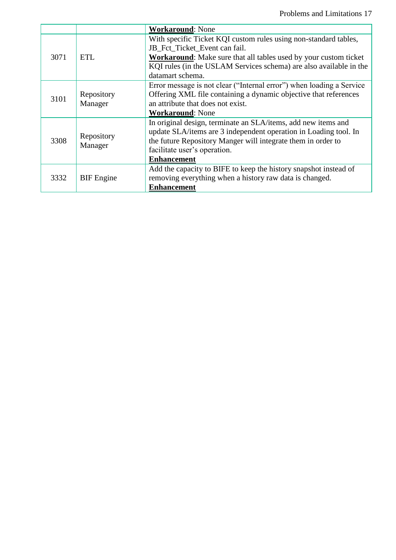|      |                       | <b>Workaround: None</b>                                                                           |
|------|-----------------------|---------------------------------------------------------------------------------------------------|
| 3071 | <b>ETL</b>            | With specific Ticket KQI custom rules using non-standard tables,<br>JB Fct Ticket Event can fail. |
|      |                       |                                                                                                   |
|      |                       | <b>Workaround:</b> Make sure that all tables used by your custom ticket                           |
|      |                       | KQI rules (in the USLAM Services schema) are also available in the                                |
|      |                       | datamart schema.                                                                                  |
| 3101 |                       | Error message is not clear ("Internal error") when loading a Service                              |
|      | Repository            | Offering XML file containing a dynamic objective that references                                  |
|      | Manager               | an attribute that does not exist.                                                                 |
|      |                       | <b>Workaround: None</b>                                                                           |
| 3308 | Repository<br>Manager | In original design, terminate an SLA/items, add new items and                                     |
|      |                       | update SLA/items are 3 independent operation in Loading tool. In                                  |
|      |                       | the future Repository Manger will integrate them in order to                                      |
|      |                       | facilitate user's operation.                                                                      |
|      |                       | <b>Enhancement</b>                                                                                |
| 3332 | <b>BIF</b> Engine     | Add the capacity to BIFE to keep the history snapshot instead of                                  |
|      |                       | removing everything when a history raw data is changed.                                           |
|      |                       | <b>Enhancement</b>                                                                                |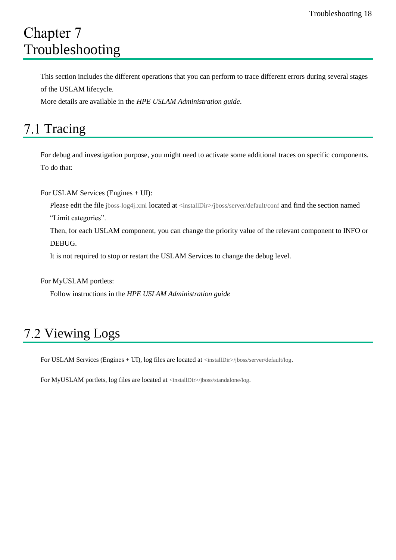# <span id="page-17-0"></span>Chapter 7 Troubleshooting

This section includes the different operations that you can perform to trace different errors during several stages of the USLAM lifecycle.

<span id="page-17-1"></span>More details are available in the *HPE USLAM Administration guide*.

## 7.1 Tracing

For debug and investigation purpose, you might need to activate some additional traces on specific components. To do that:

For USLAM Services (Engines + UI):

Please edit the file jboss-log4j.xml located at <installDir>/jboss/server/default/conf and find the section named "Limit categories".

Then, for each USLAM component, you can change the priority value of the relevant component to INFO or DEBUG.

It is not required to stop or restart the USLAM Services to change the debug level.

#### For MyUSLAM portlets:

Follow instructions in the *HPE USLAM Administration guide*

## <span id="page-17-2"></span>7.2 Viewing Logs

For USLAM Services (Engines + UI), log files are located at <installDir>/jboss/server/default/log.

For MyUSLAM portlets, log files are located at <installDir>/jboss/standalone/log.